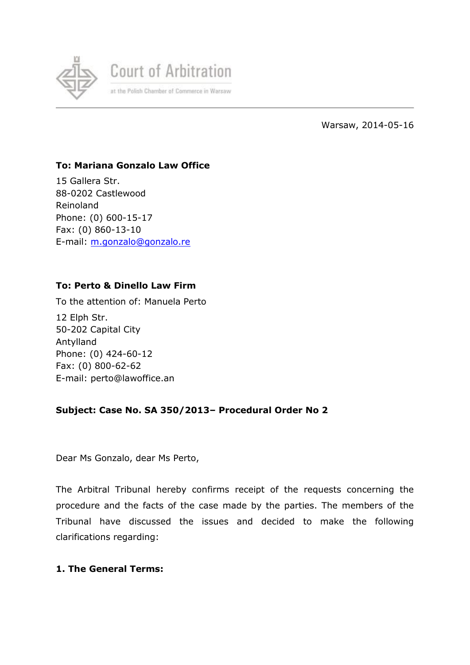

Warsaw, 2014-05-16

# **To: Mariana Gonzalo Law Office**

15 Gallera Str. 88-0202 Castlewood Reinoland Phone: (0) 600-15-17 Fax: (0) 860-13-10 E-mail: [m.gonzalo@gonzalo.re](mailto:m.gonzalo@gonzalo.re)

# **To: Perto & Dinello Law Firm**

To the attention of: Manuela Perto 12 Elph Str.

50-202 Capital City Antylland Phone: (0) 424-60-12 Fax: (0) 800-62-62 E-mail: perto@lawoffice.an

### **Subject: Case No. SA 350/2013– Procedural Order No 2**

Dear Ms Gonzalo, dear Ms Perto,

The Arbitral Tribunal hereby confirms receipt of the requests concerning the procedure and the facts of the case made by the parties. The members of the Tribunal have discussed the issues and decided to make the following clarifications regarding:

### **1. The General Terms:**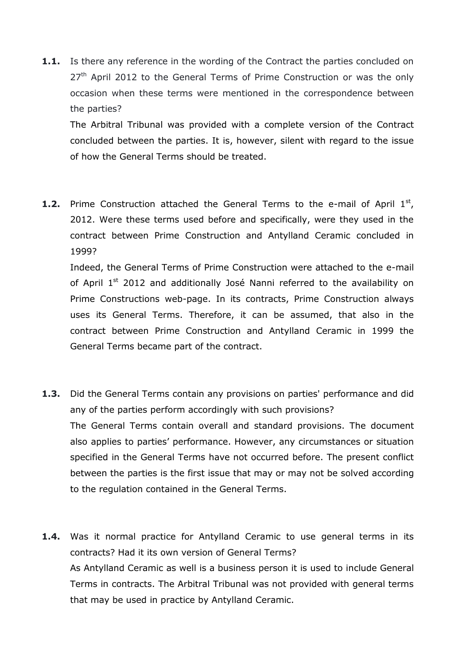**1.1.** Is there any reference in the wording of the Contract the parties concluded on  $27<sup>th</sup>$  April 2012 to the General Terms of Prime Construction or was the only occasion when these terms were mentioned in the correspondence between the parties?

The Arbitral Tribunal was provided with a complete version of the Contract concluded between the parties. It is, however, silent with regard to the issue of how the General Terms should be treated.

**1.2.** Prime Construction attached the General Terms to the e-mail of April 1<sup>st</sup>, 2012. Were these terms used before and specifically, were they used in the contract between Prime Construction and Antylland Ceramic concluded in 1999?

Indeed, the General Terms of Prime Construction were attached to the e-mail of April 1<sup>st</sup> 2012 and additionally José Nanni referred to the availability on Prime Constructions web-page. In its contracts, Prime Construction always uses its General Terms. Therefore, it can be assumed, that also in the contract between Prime Construction and Antylland Ceramic in 1999 the General Terms became part of the contract.

- **1.3.** Did the General Terms contain any provisions on parties' performance and did any of the parties perform accordingly with such provisions? The General Terms contain overall and standard provisions. The document also applies to parties' performance. However, any circumstances or situation specified in the General Terms have not occurred before. The present conflict between the parties is the first issue that may or may not be solved according to the regulation contained in the General Terms.
- **1.4.** Was it normal practice for Antylland Ceramic to use general terms in its contracts? Had it its own version of General Terms? As Antylland Ceramic as well is a business person it is used to include General Terms in contracts. The Arbitral Tribunal was not provided with general terms that may be used in practice by Antylland Ceramic.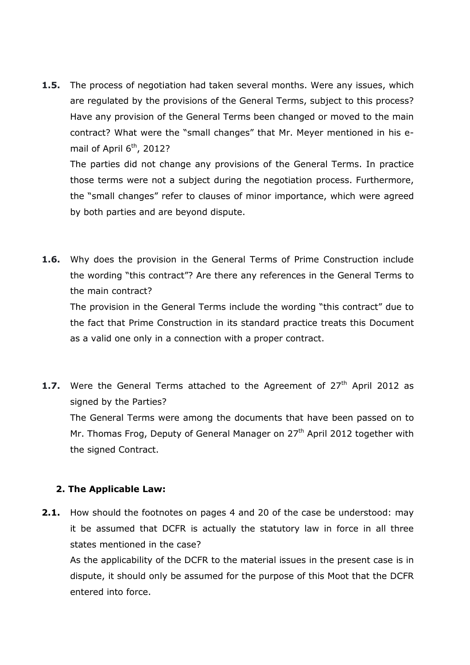**1.5.** The process of negotiation had taken several months. Were any issues, which are regulated by the provisions of the General Terms, subject to this process? Have any provision of the General Terms been changed or moved to the main contract? What were the "small changes" that Mr. Meyer mentioned in his email of April  $6<sup>th</sup>$ , 2012?

The parties did not change any provisions of the General Terms. In practice those terms were not a subject during the negotiation process. Furthermore, the "small changes" refer to clauses of minor importance, which were agreed by both parties and are beyond dispute.

**1.6.** Why does the provision in the General Terms of Prime Construction include the wording "this contract"? Are there any references in the General Terms to the main contract?

The provision in the General Terms include the wording "this contract" due to the fact that Prime Construction in its standard practice treats this Document as a valid one only in a connection with a proper contract.

**1.7.** Were the General Terms attached to the Agreement of 27<sup>th</sup> April 2012 as signed by the Parties? The General Terms were among the documents that have been passed on to Mr. Thomas Frog, Deputy of General Manager on 27<sup>th</sup> April 2012 together with the signed Contract.

### **2. The Applicable Law:**

**2.1.** How should the footnotes on pages 4 and 20 of the case be understood: may it be assumed that DCFR is actually the statutory law in force in all three states mentioned in the case?

As the applicability of the DCFR to the material issues in the present case is in dispute, it should only be assumed for the purpose of this Moot that the DCFR entered into force.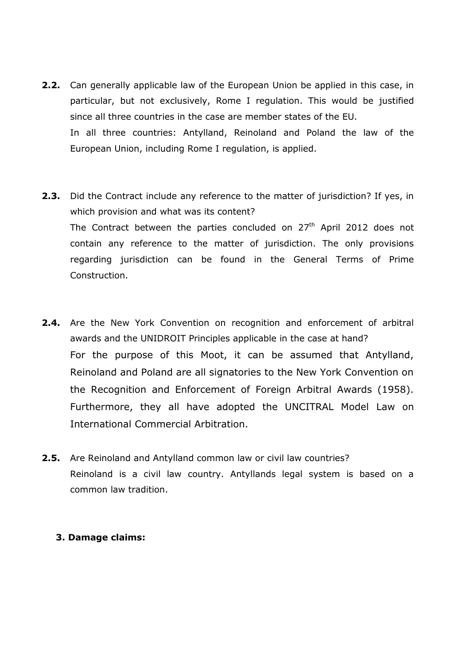- **2.2.** Can generally applicable law of the European Union be applied in this case, in particular, but not exclusively, Rome I regulation. This would be justified since all three countries in the case are member states of the EU. In all three countries: Antylland, Reinoland and Poland the law of the European Union, including Rome I regulation, is applied.
- **2.3.** Did the Contract include any reference to the matter of jurisdiction? If yes, in which provision and what was its content? The Contract between the parties concluded on  $27<sup>th</sup>$  April 2012 does not contain any reference to the matter of jurisdiction. The only provisions regarding jurisdiction can be found in the General Terms of Prime Construction.
- **2.4.** Are the New York Convention on recognition and enforcement of arbitral awards and the UNIDROIT Principles applicable in the case at hand? For the purpose of this Moot, it can be assumed that Antylland, Reinoland and Poland are all signatories to the New York Convention on the Recognition and Enforcement of Foreign Arbitral Awards (1958). Furthermore, they all have adopted the UNCITRAL Model Law on International Commercial Arbitration.
- **2.5.** Are Reinoland and Antylland common law or civil law countries? Reinoland is a civil law country. Antyllands legal system is based on a common law tradition.

### **3. Damage claims:**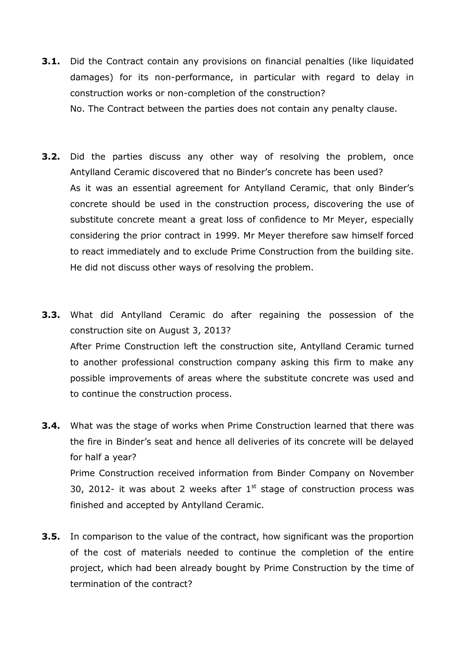- **3.1.** Did the Contract contain any provisions on financial penalties (like liquidated damages) for its non-performance, in particular with regard to delay in construction works or non-completion of the construction? No. The Contract between the parties does not contain any penalty clause.
- **3.2.** Did the parties discuss any other way of resolving the problem, once Antylland Ceramic discovered that no Binder's concrete has been used? As it was an essential agreement for Antylland Ceramic, that only Binder's concrete should be used in the construction process, discovering the use of substitute concrete meant a great loss of confidence to Mr Meyer, especially considering the prior contract in 1999. Mr Meyer therefore saw himself forced to react immediately and to exclude Prime Construction from the building site. He did not discuss other ways of resolving the problem.
- **3.3.** What did Antylland Ceramic do after regaining the possession of the construction site on August 3, 2013? After Prime Construction left the construction site, Antylland Ceramic turned to another professional construction company asking this firm to make any possible improvements of areas where the substitute concrete was used and to continue the construction process.
- **3.4.** What was the stage of works when Prime Construction learned that there was the fire in Binder's seat and hence all deliveries of its concrete will be delayed for half a year? Prime Construction received information from Binder Company on November 30, 2012- it was about 2 weeks after  $1<sup>st</sup>$  stage of construction process was finished and accepted by Antylland Ceramic.
- **3.5.** In comparison to the value of the contract, how significant was the proportion of the cost of materials needed to continue the completion of the entire project, which had been already bought by Prime Construction by the time of termination of the contract?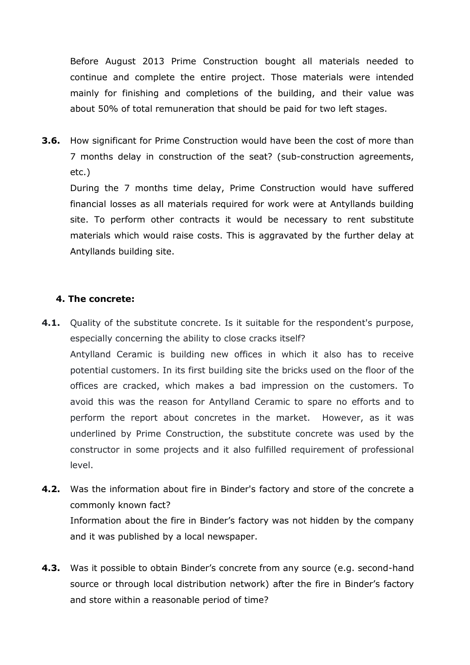Before August 2013 Prime Construction bought all materials needed to continue and complete the entire project. Those materials were intended mainly for finishing and completions of the building, and their value was about 50% of total remuneration that should be paid for two left stages.

**3.6.** How significant for Prime Construction would have been the cost of more than 7 months delay in construction of the seat? (sub-construction agreements, etc.)

During the 7 months time delay, Prime Construction would have suffered financial losses as all materials required for work were at Antyllands building site. To perform other contracts it would be necessary to rent substitute materials which would raise costs. This is aggravated by the further delay at Antyllands building site.

### **4. The concrete:**

- **4.1.** Quality of the substitute concrete. Is it suitable for the respondent's purpose, especially concerning the ability to close cracks itself? Antylland Ceramic is building new offices in which it also has to receive potential customers. In its first building site the bricks used on the floor of the offices are cracked, which makes a bad impression on the customers. To avoid this was the reason for Antylland Ceramic to spare no efforts and to perform the report about concretes in the market. However, as it was underlined by Prime Construction, the substitute concrete was used by the constructor in some projects and it also fulfilled requirement of professional level.
- **4.2.** Was the information about fire in Binder's factory and store of the concrete a commonly known fact? Information about the fire in Binder's factory was not hidden by the company and it was published by a local newspaper.
- **4.3.** Was it possible to obtain Binder's concrete from any source (e.g. second-hand source or through local distribution network) after the fire in Binder's factory and store within a reasonable period of time?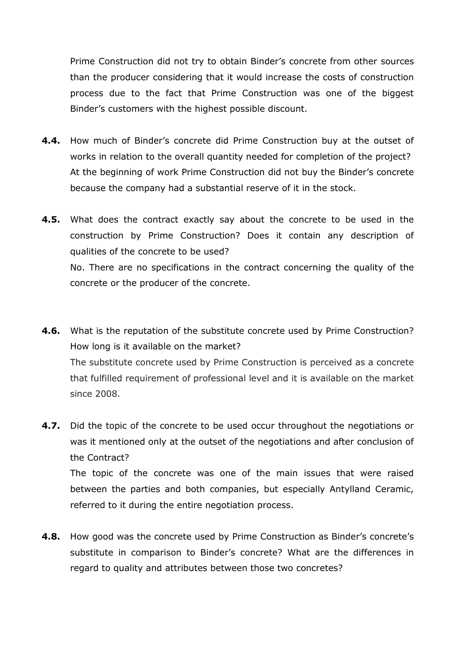Prime Construction did not try to obtain Binder's concrete from other sources than the producer considering that it would increase the costs of construction process due to the fact that Prime Construction was one of the biggest Binder's customers with the highest possible discount.

- **4.4.** How much of Binder's concrete did Prime Construction buy at the outset of works in relation to the overall quantity needed for completion of the project? At the beginning of work Prime Construction did not buy the Binder's concrete because the company had a substantial reserve of it in the stock.
- **4.5.** What does the contract exactly say about the concrete to be used in the construction by Prime Construction? Does it contain any description of qualities of the concrete to be used? No. There are no specifications in the contract concerning the quality of the concrete or the producer of the concrete.
- **4.6.** What is the reputation of the substitute concrete used by Prime Construction? How long is it available on the market? The substitute concrete used by Prime Construction is perceived as a concrete that fulfilled requirement of professional level and it is available on the market since 2008.
- **4.7.** Did the topic of the concrete to be used occur throughout the negotiations or was it mentioned only at the outset of the negotiations and after conclusion of the Contract? The topic of the concrete was one of the main issues that were raised between the parties and both companies, but especially Antylland Ceramic, referred to it during the entire negotiation process.
- **4.8.** How good was the concrete used by Prime Construction as Binder's concrete's substitute in comparison to Binder's concrete? What are the differences in regard to quality and attributes between those two concretes?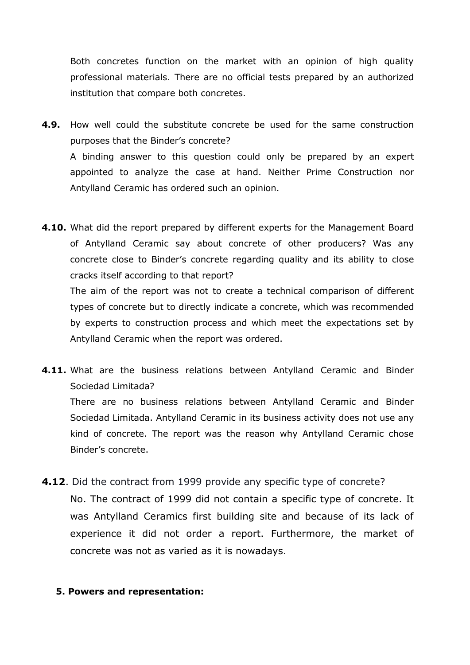Both concretes function on the market with an opinion of high quality professional materials. There are no official tests prepared by an authorized institution that compare both concretes.

- **4.9.** How well could the substitute concrete be used for the same construction purposes that the Binder's concrete? A binding answer to this question could only be prepared by an expert appointed to analyze the case at hand. Neither Prime Construction nor Antylland Ceramic has ordered such an opinion.
- **4.10.** What did the report prepared by different experts for the Management Board of Antylland Ceramic say about concrete of other producers? Was any concrete close to Binder's concrete regarding quality and its ability to close cracks itself according to that report?

The aim of the report was not to create a technical comparison of different types of concrete but to directly indicate a concrete, which was recommended by experts to construction process and which meet the expectations set by Antylland Ceramic when the report was ordered.

**4.11.** What are the business relations between Antylland Ceramic and Binder Sociedad Limitada? There are no business relations between Antylland Ceramic and Binder Sociedad Limitada. Antylland Ceramic in its business activity does not use any kind of concrete. The report was the reason why Antylland Ceramic chose Binder's concrete.

**4.12**. Did the contract from 1999 provide any specific type of concrete? No. The contract of 1999 did not contain a specific type of concrete. It was Antylland Ceramics first building site and because of its lack of experience it did not order a report. Furthermore, the market of concrete was not as varied as it is nowadays.

#### **5. Powers and representation:**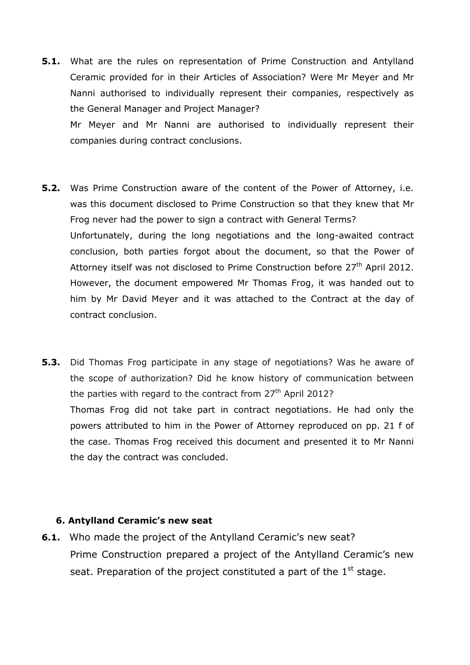- **5.1.** What are the rules on representation of Prime Construction and Antylland Ceramic provided for in their Articles of Association? Were Mr Meyer and Mr Nanni authorised to individually represent their companies, respectively as the General Manager and Project Manager? Mr Meyer and Mr Nanni are authorised to individually represent their companies during contract conclusions.
- **5.2.** Was Prime Construction aware of the content of the Power of Attorney, i.e. was this document disclosed to Prime Construction so that they knew that Mr Frog never had the power to sign a contract with General Terms? Unfortunately, during the long negotiations and the long-awaited contract conclusion, both parties forgot about the document, so that the Power of Attorney itself was not disclosed to Prime Construction before  $27<sup>th</sup>$  April 2012. However, the document empowered Mr Thomas Frog, it was handed out to him by Mr David Meyer and it was attached to the Contract at the day of contract conclusion.
- **5.3.** Did Thomas Frog participate in any stage of negotiations? Was he aware of the scope of authorization? Did he know history of communication between the parties with regard to the contract from  $27<sup>th</sup>$  April 2012? Thomas Frog did not take part in contract negotiations. He had only the powers attributed to him in the Power of Attorney reproduced on pp. 21 f of the case. Thomas Frog received this document and presented it to Mr Nanni the day the contract was concluded.

#### **6. Antylland Ceramic's new seat**

**6.1.** Who made the project of the Antylland Ceramic's new seat? Prime Construction prepared a project of the Antylland Ceramic's new seat. Preparation of the project constituted a part of the  $1<sup>st</sup>$  stage.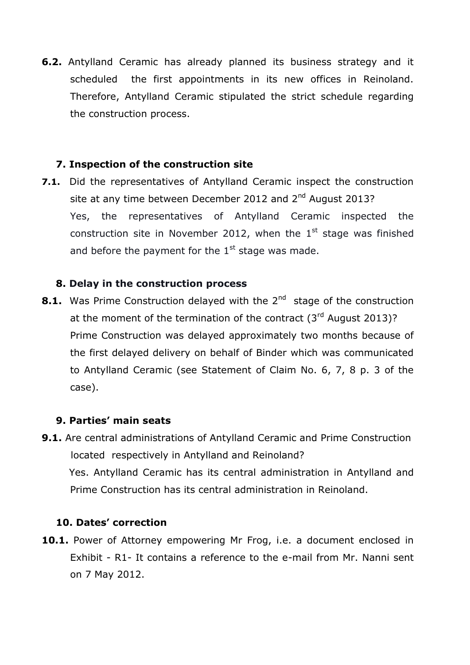**6.2.** Antylland Ceramic has already planned its business strategy and it scheduled the first appointments in its new offices in Reinoland. Therefore, Antylland Ceramic stipulated the strict schedule regarding the construction process.

# **7. Inspection of the construction site**

**7.1.** Did the representatives of Antylland Ceramic inspect the construction site at any time between December 2012 and 2<sup>nd</sup> August 2013? Yes, the representatives of Antylland Ceramic inspected the construction site in November 2012, when the  $1<sup>st</sup>$  stage was finished and before the payment for the  $1<sup>st</sup>$  stage was made.

# **8. Delay in the construction process**

**8.1.** Was Prime Construction delayed with the 2<sup>nd</sup> stage of the construction at the moment of the termination of the contract  $(3<sup>rd</sup>$  August 2013)? Prime Construction was delayed approximately two months because of the first delayed delivery on behalf of Binder which was communicated to Antylland Ceramic (see Statement of Claim No. 6, 7, 8 p. 3 of the case).

# **9. Parties' main seats**

**9.1.** Are central administrations of Antylland Ceramic and Prime Construction located respectively in Antylland and Reinoland? Yes. Antylland Ceramic has its central administration in Antylland and Prime Construction has its central administration in Reinoland.

### **10. Dates' correction**

10.1. Power of Attorney empowering Mr Frog, i.e. a document enclosed in Exhibit - R1- It contains a reference to the e-mail from Mr. Nanni sent on 7 May 2012.